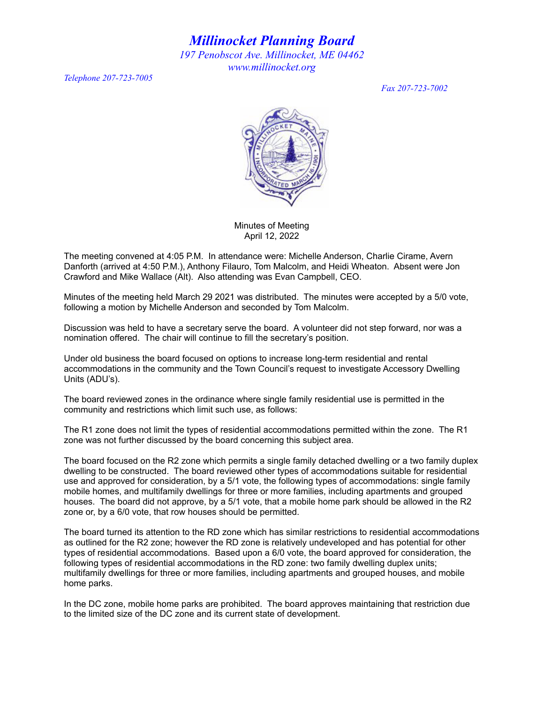*Millinocket Planning Board 197 Penobscot Ave. Millinocket, ME 04462 www.millinocket.org*

*Telephone 207-723-7005*

*Fax 207-723-7002*



Minutes of Meeting April 12, 2022

The meeting convened at 4:05 P.M. In attendance were: Michelle Anderson, Charlie Cirame, Avern Danforth (arrived at 4:50 P.M.), Anthony Filauro, Tom Malcolm, and Heidi Wheaton. Absent were Jon Crawford and Mike Wallace (Alt). Also attending was Evan Campbell, CEO.

Minutes of the meeting held March 29 2021 was distributed. The minutes were accepted by a 5/0 vote, following a motion by Michelle Anderson and seconded by Tom Malcolm.

Discussion was held to have a secretary serve the board. A volunteer did not step forward, nor was a nomination offered. The chair will continue to fill the secretary's position.

Under old business the board focused on options to increase long-term residential and rental accommodations in the community and the Town Council's request to investigate Accessory Dwelling Units (ADU's).

The board reviewed zones in the ordinance where single family residential use is permitted in the community and restrictions which limit such use, as follows:

The R1 zone does not limit the types of residential accommodations permitted within the zone. The R1 zone was not further discussed by the board concerning this subject area.

The board focused on the R2 zone which permits a single family detached dwelling or a two family duplex dwelling to be constructed. The board reviewed other types of accommodations suitable for residential use and approved for consideration, by a 5/1 vote, the following types of accommodations: single family mobile homes, and multifamily dwellings for three or more families, including apartments and grouped houses. The board did not approve, by a 5/1 vote, that a mobile home park should be allowed in the R2 zone or, by a 6/0 vote, that row houses should be permitted.

The board turned its attention to the RD zone which has similar restrictions to residential accommodations as outlined for the R2 zone; however the RD zone is relatively undeveloped and has potential for other types of residential accommodations. Based upon a 6/0 vote, the board approved for consideration, the following types of residential accommodations in the RD zone: two family dwelling duplex units; multifamily dwellings for three or more families, including apartments and grouped houses, and mobile home parks.

In the DC zone, mobile home parks are prohibited. The board approves maintaining that restriction due to the limited size of the DC zone and its current state of development.